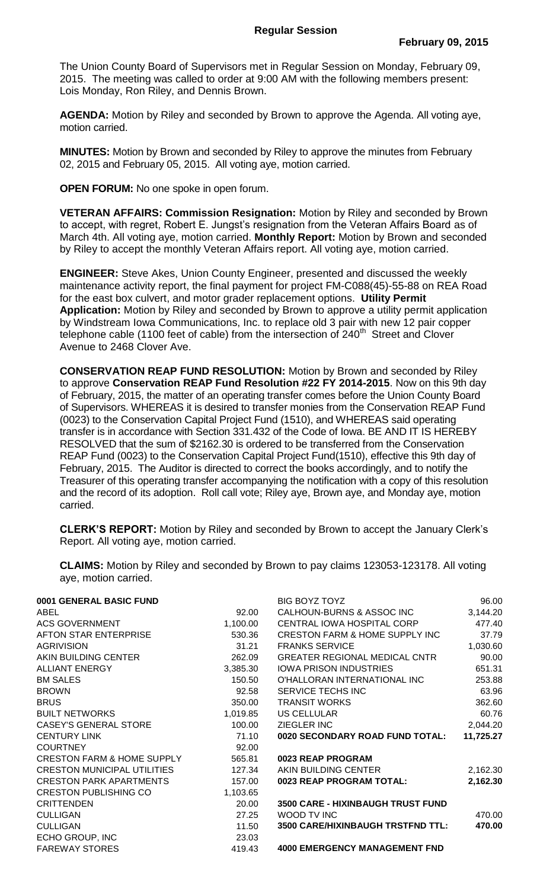The Union County Board of Supervisors met in Regular Session on Monday, February 09, 2015. The meeting was called to order at 9:00 AM with the following members present: Lois Monday, Ron Riley, and Dennis Brown.

**AGENDA:** Motion by Riley and seconded by Brown to approve the Agenda. All voting aye, motion carried.

**MINUTES:** Motion by Brown and seconded by Riley to approve the minutes from February 02, 2015 and February 05, 2015. All voting aye, motion carried.

**OPEN FORUM:** No one spoke in open forum.

**VETERAN AFFAIRS: Commission Resignation:** Motion by Riley and seconded by Brown to accept, with regret, Robert E. Jungst's resignation from the Veteran Affairs Board as of March 4th. All voting aye, motion carried. **Monthly Report:** Motion by Brown and seconded by Riley to accept the monthly Veteran Affairs report. All voting aye, motion carried.

**ENGINEER:** Steve Akes, Union County Engineer, presented and discussed the weekly maintenance activity report, the final payment for project FM-C088(45)-55-88 on REA Road for the east box culvert, and motor grader replacement options. **Utility Permit Application:** Motion by Riley and seconded by Brown to approve a utility permit application by Windstream Iowa Communications, Inc. to replace old 3 pair with new 12 pair copper telephone cable (1100 feet of cable) from the intersection of  $240<sup>th</sup>$  Street and Clover Avenue to 2468 Clover Ave.

**CONSERVATION REAP FUND RESOLUTION:** Motion by Brown and seconded by Riley to approve **Conservation REAP Fund Resolution #22 FY 2014-2015**. Now on this 9th day of February, 2015, the matter of an operating transfer comes before the Union County Board of Supervisors. WHEREAS it is desired to transfer monies from the Conservation REAP Fund (0023) to the Conservation Capital Project Fund (1510), and WHEREAS said operating transfer is in accordance with Section 331.432 of the Code of Iowa. BE AND IT IS HEREBY RESOLVED that the sum of \$2162.30 is ordered to be transferred from the Conservation REAP Fund (0023) to the Conservation Capital Project Fund(1510), effective this 9th day of February, 2015. The Auditor is directed to correct the books accordingly, and to notify the Treasurer of this operating transfer accompanying the notification with a copy of this resolution and the record of its adoption. Roll call vote; Riley aye, Brown aye, and Monday aye, motion carried.

**CLERK'S REPORT:** Motion by Riley and seconded by Brown to accept the January Clerk's Report. All voting aye, motion carried.

**CLAIMS:** Motion by Riley and seconded by Brown to pay claims 123053-123178. All voting aye, motion carried.

| 0001 GENERAL BASIC FUND               |          | BIG BOYZ TOYZ                             | 96.00     |
|---------------------------------------|----------|-------------------------------------------|-----------|
| ABEL                                  | 92.00    | CALHOUN-BURNS & ASSOC INC                 | 3,144.20  |
| <b>ACS GOVERNMENT</b>                 | 1,100.00 | CENTRAL IOWA HOSPITAL CORP                | 477.40    |
| AFTON STAR ENTERPRISE                 | 530.36   | <b>CRESTON FARM &amp; HOME SUPPLY INC</b> | 37.79     |
| <b>AGRIVISION</b>                     | 31.21    | <b>FRANKS SERVICE</b>                     | 1,030.60  |
| AKIN BUILDING CENTER                  | 262.09   | <b>GREATER REGIONAL MEDICAL CNTR</b>      | 90.00     |
| <b>ALLIANT ENERGY</b>                 | 3,385.30 | <b>IOWA PRISON INDUSTRIES</b>             | 651.31    |
| <b>BM SALES</b>                       | 150.50   | O'HALLORAN INTERNATIONAL INC              | 253.88    |
| <b>BROWN</b>                          | 92.58    | SERVICE TECHS INC                         | 63.96     |
| <b>BRUS</b>                           | 350.00   | <b>TRANSIT WORKS</b>                      | 362.60    |
| <b>BUILT NETWORKS</b>                 | 1,019.85 | US CELLULAR                               | 60.76     |
| <b>CASEY'S GENERAL STORE</b>          | 100.00   | ZIEGLER INC                               | 2,044.20  |
| <b>CENTURY LINK</b>                   | 71.10    | 0020 SECONDARY ROAD FUND TOTAL:           | 11,725.27 |
| <b>COURTNEY</b>                       | 92.00    |                                           |           |
| <b>CRESTON FARM &amp; HOME SUPPLY</b> | 565.81   | 0023 REAP PROGRAM                         |           |
| <b>CRESTON MUNICIPAL UTILITIES</b>    | 127.34   | AKIN BUILDING CENTER                      | 2,162.30  |
| <b>CRESTON PARK APARTMENTS</b>        | 157.00   | 0023 REAP PROGRAM TOTAL:                  | 2,162.30  |
| <b>CRESTON PUBLISHING CO</b>          | 1,103.65 |                                           |           |
| <b>CRITTENDEN</b>                     | 20.00    | <b>3500 CARE - HIXINBAUGH TRUST FUND</b>  |           |
| <b>CULLIGAN</b>                       | 27.25    | WOOD TV INC                               | 470.00    |
| <b>CULLIGAN</b>                       | 11.50    | <b>3500 CARE/HIXINBAUGH TRSTFND TTL:</b>  | 470.00    |
| ECHO GROUP, INC                       | 23.03    |                                           |           |
| <b>FAREWAY STORES</b>                 | 419.43   | <b>4000 EMERGENCY MANAGEMENT FND</b>      |           |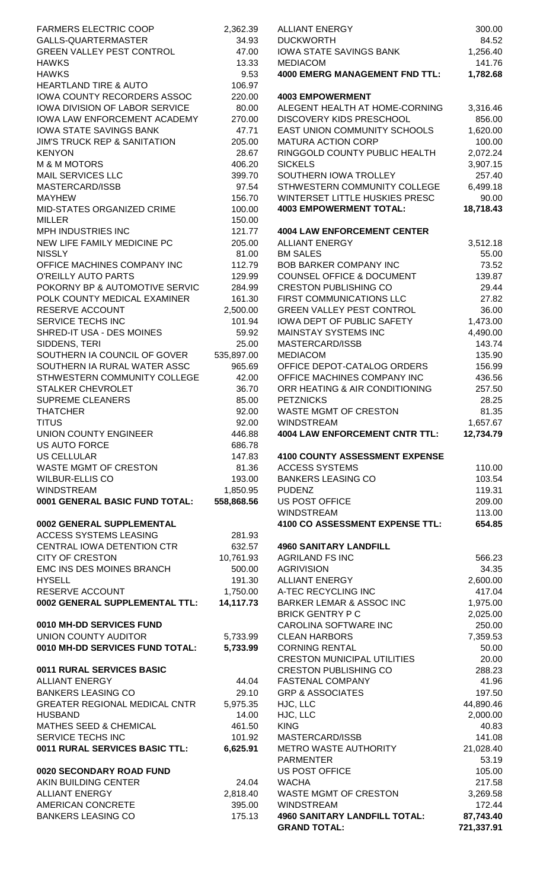| <b>FARMERS ELECTRIC COOP</b>                                              | 2,362.39           | <b>ALLIANT ENERGY</b>                                            | 300.00                         |
|---------------------------------------------------------------------------|--------------------|------------------------------------------------------------------|--------------------------------|
| GALLS-QUARTERMASTER                                                       | 34.93              | <b>DUCKWORTH</b>                                                 | 84.52                          |
| <b>GREEN VALLEY PEST CONTROL</b>                                          | 47.00<br>13.33     | <b>IOWA STATE SAVINGS BANK</b><br><b>MEDIACOM</b>                | 1,256.40<br>141.76             |
| <b>HAWKS</b><br><b>HAWKS</b>                                              | 9.53               | <b>4000 EMERG MANAGEMENT FND TTL:</b>                            | 1,782.68                       |
| <b>HEARTLAND TIRE &amp; AUTO</b>                                          | 106.97             |                                                                  |                                |
| IOWA COUNTY RECORDERS ASSOC                                               | 220.00             | <b>4003 EMPOWERMENT</b>                                          |                                |
| <b>IOWA DIVISION OF LABOR SERVICE</b>                                     | 80.00              | ALEGENT HEALTH AT HOME-CORNING                                   | 3,316.46                       |
| IOWA LAW ENFORCEMENT ACADEMY                                              | 270.00             | <b>DISCOVERY KIDS PRESCHOOL</b>                                  | 856.00                         |
| <b>IOWA STATE SAVINGS BANK</b><br><b>JIM'S TRUCK REP &amp; SANITATION</b> | 47.71<br>205.00    | <b>EAST UNION COMMUNITY SCHOOLS</b><br><b>MATURA ACTION CORP</b> | 1,620.00<br>100.00             |
| <b>KENYON</b>                                                             | 28.67              | RINGGOLD COUNTY PUBLIC HEALTH                                    | 2,072.24                       |
| <b>M &amp; M MOTORS</b>                                                   | 406.20             | <b>SICKELS</b>                                                   | 3,907.15                       |
| <b>MAIL SERVICES LLC</b>                                                  | 399.70             | SOUTHERN IOWA TROLLEY                                            | 257.40                         |
| MASTERCARD/ISSB                                                           | 97.54              | STHWESTERN COMMUNITY COLLEGE                                     | 6,499.18                       |
| <b>MAYHEW</b>                                                             | 156.70             | WINTERSET LITTLE HUSKIES PRESC                                   | 90.00                          |
| MID-STATES ORGANIZED CRIME<br><b>MILLER</b>                               | 100.00<br>150.00   | <b>4003 EMPOWERMENT TOTAL:</b>                                   | 18,718.43                      |
| MPH INDUSTRIES INC                                                        | 121.77             | <b>4004 LAW ENFORCEMENT CENTER</b>                               |                                |
| NEW LIFE FAMILY MEDICINE PC                                               | 205.00             | <b>ALLIANT ENERGY</b>                                            | 3,512.18                       |
| <b>NISSLY</b>                                                             | 81.00              | <b>BM SALES</b>                                                  | 55.00                          |
| OFFICE MACHINES COMPANY INC                                               | 112.79             | <b>BOB BARKER COMPANY INC</b>                                    | 73.52                          |
| <b>O'REILLY AUTO PARTS</b>                                                | 129.99             | <b>COUNSEL OFFICE &amp; DOCUMENT</b>                             | 139.87                         |
| POKORNY BP & AUTOMOTIVE SERVIC                                            | 284.99             | <b>CRESTON PUBLISHING CO</b>                                     | 29.44                          |
| POLK COUNTY MEDICAL EXAMINER<br>RESERVE ACCOUNT                           | 161.30<br>2,500.00 | FIRST COMMUNICATIONS LLC<br><b>GREEN VALLEY PEST CONTROL</b>     | 27.82<br>36.00                 |
| SERVICE TECHS INC                                                         | 101.94             | <b>IOWA DEPT OF PUBLIC SAFETY</b>                                | 1,473.00                       |
| SHRED-IT USA - DES MOINES                                                 | 59.92              | <b>MAINSTAY SYSTEMS INC</b>                                      | 4,490.00                       |
| SIDDENS, TERI                                                             | 25.00              | MASTERCARD/ISSB                                                  | 143.74                         |
| SOUTHERN IA COUNCIL OF GOVER                                              | 535,897.00         | <b>MEDIACOM</b>                                                  | 135.90                         |
| SOUTHERN IA RURAL WATER ASSC                                              | 965.69             | OFFICE DEPOT-CATALOG ORDERS                                      | 156.99                         |
| STHWESTERN COMMUNITY COLLEGE<br><b>STALKER CHEVROLET</b>                  | 42.00<br>36.70     | OFFICE MACHINES COMPANY INC<br>ORR HEATING & AIR CONDITIONING    | 436.56<br>257.50               |
| <b>SUPREME CLEANERS</b>                                                   | 85.00              | <b>PETZNICKS</b>                                                 | 28.25                          |
| <b>THATCHER</b>                                                           | 92.00              | <b>WASTE MGMT OF CRESTON</b>                                     | 81.35                          |
| <b>TITUS</b>                                                              | 92.00              | <b>WINDSTREAM</b>                                                | 1,657.67                       |
| UNION COUNTY ENGINEER                                                     | 446.88             | <b>4004 LAW ENFORCEMENT CNTR TTL:</b>                            | 12,734.79                      |
| <b>US AUTO FORCE</b>                                                      | 686.78             |                                                                  |                                |
| <b>US CELLULAR</b><br>WASTE MGMT OF CRESTON                               | 147.83<br>81.36    | <b>4100 COUNTY ASSESSMENT EXPENSE</b><br><b>ACCESS SYSTEMS</b>   | 110.00                         |
| <b>WILBUR-ELLIS CO</b>                                                    | 193.00             | <b>BANKERS LEASING CO</b>                                        | 103.54                         |
| <b>WINDSTREAM</b>                                                         | 1,850.95           | <b>PUDENZ</b>                                                    | 119.31                         |
| 0001 GENERAL BASIC FUND TOTAL:                                            | 558,868.56         | <b>US POST OFFICE</b>                                            | 209.00                         |
|                                                                           |                    | <b>WINDSTREAM</b>                                                | 113.00                         |
| 0002 GENERAL SUPPLEMENTAL                                                 |                    | 4100 CO ASSESSMENT EXPENSE TTL:                                  | 654.85                         |
| ACCESS SYSTEMS LEASING<br>CENTRAL IOWA DETENTION CTR                      | 281.93<br>632.57   | <b>4960 SANITARY LANDFILL</b>                                    |                                |
| <b>CITY OF CRESTON</b>                                                    | 10,761.93          | <b>AGRILAND FS INC</b>                                           | 566.23                         |
| EMC INS DES MOINES BRANCH                                                 | 500.00             | <b>AGRIVISION</b>                                                | 34.35                          |
| <b>HYSELL</b>                                                             | 191.30             | <b>ALLIANT ENERGY</b>                                            | 2,600.00                       |
| RESERVE ACCOUNT                                                           | 1,750.00           | A-TEC RECYCLING INC                                              | 417.04                         |
| 0002 GENERAL SUPPLEMENTAL TTL:                                            | 14,117.73          | <b>BARKER LEMAR &amp; ASSOC INC</b>                              | 1,975.00                       |
| 0010 MH-DD SERVICES FUND                                                  |                    | <b>BRICK GENTRY P C</b><br>CAROLINA SOFTWARE INC                 | 2,025.00<br>250.00             |
| UNION COUNTY AUDITOR                                                      | 5,733.99           | <b>CLEAN HARBORS</b>                                             | 7,359.53                       |
| 0010 MH-DD SERVICES FUND TOTAL:                                           | 5,733.99           | <b>CORNING RENTAL</b>                                            | 50.00                          |
|                                                                           |                    | <b>CRESTON MUNICIPAL UTILITIES</b>                               | 20.00                          |
| 0011 RURAL SERVICES BASIC                                                 |                    | <b>CRESTON PUBLISHING CO</b>                                     | 288.23                         |
| <b>ALLIANT ENERGY</b><br><b>BANKERS LEASING CO</b>                        | 44.04<br>29.10     | <b>FASTENAL COMPANY</b><br><b>GRP &amp; ASSOCIATES</b>           | 41.96                          |
| <b>GREATER REGIONAL MEDICAL CNTR</b>                                      | 5,975.35           | HJC, LLC                                                         | 197.50<br>44,890.46            |
| <b>HUSBAND</b>                                                            | 14.00              | HJC, LLC                                                         | 2,000.00                       |
| <b>MATHES SEED &amp; CHEMICAL</b>                                         | 461.50             | <b>KING</b>                                                      | 40.83                          |
| SERVICE TECHS INC                                                         | 101.92             | MASTERCARD/ISSB                                                  | 141.08                         |
| 0011 RURAL SERVICES BASIC TTL:                                            | 6,625.91           | METRO WASTE AUTHORITY                                            | 21,028.40                      |
| 0020 SECONDARY ROAD FUND                                                  |                    | <b>PARMENTER</b><br><b>US POST OFFICE</b>                        | 53.19<br>105.00                |
| AKIN BUILDING CENTER                                                      | 24.04              | <b>WACHA</b>                                                     | 217.58                         |
| <b>ALLIANT ENERGY</b>                                                     | 2,818.40           | <b>WASTE MGMT OF CRESTON</b>                                     | 3,269.58                       |
| AMERICAN CONCRETE                                                         | 395.00             | <b>WINDSTREAM</b>                                                | 172.44                         |
| <b>BANKERS LEASING CO</b>                                                 | 175.13             | <b>4960 SANITARY LANDFILL TOTAL:</b><br>CRAND TOTAL.             | 87,743.40<br><b>704 227 04</b> |

| FARMERS ELECTRIC COOP                                        | 2,362.39         | <b>ALLIANT ENERGY</b>                                            | 300.00                  |
|--------------------------------------------------------------|------------------|------------------------------------------------------------------|-------------------------|
| GALLS-QUARTERMASTER<br><b>GREEN VALLEY PEST CONTROL</b>      | 34.93            | <b>DUCKWORTH</b>                                                 | 84.52                   |
| <b>HAWKS</b>                                                 | 47.00<br>13.33   | <b>IOWA STATE SAVINGS BANK</b><br><b>MEDIACOM</b>                | 1,256.40<br>141.76      |
| <b>HAWKS</b>                                                 | 9.53             | <b>4000 EMERG MANAGEMENT FND TTL:</b>                            | 1,782.68                |
| <b>HEARTLAND TIRE &amp; AUTO</b>                             | 106.97           |                                                                  |                         |
| IOWA COUNTY RECORDERS ASSOC                                  | 220.00           | <b>4003 EMPOWERMENT</b>                                          |                         |
| IOWA DIVISION OF LABOR SERVICE                               | 80.00            | ALEGENT HEALTH AT HOME-CORNING                                   | 3,316.46                |
| <b>IOWA LAW ENFORCEMENT ACADEMY</b>                          | 270.00           | <b>DISCOVERY KIDS PRESCHOOL</b>                                  | 856.00                  |
| <b>IOWA STATE SAVINGS BANK</b>                               | 47.71            | <b>EAST UNION COMMUNITY SCHOOLS</b>                              | 1,620.00                |
| <b>JIM'S TRUCK REP &amp; SANITATION</b>                      | 205.00           | <b>MATURA ACTION CORP</b>                                        | 100.00                  |
| <b>KENYON</b>                                                | 28.67            | RINGGOLD COUNTY PUBLIC HEALTH                                    | 2,072.24                |
| <b>M &amp; M MOTORS</b>                                      | 406.20           | <b>SICKELS</b>                                                   | 3,907.15                |
| <b>MAIL SERVICES LLC</b>                                     | 399.70           | SOUTHERN IOWA TROLLEY                                            | 257.40                  |
| MASTERCARD/ISSB                                              | 97.54            | STHWESTERN COMMUNITY COLLEGE                                     | 6,499.18                |
| <b>MAYHEW</b><br>MID-STATES ORGANIZED CRIME                  | 156.70<br>100.00 | WINTERSET LITTLE HUSKIES PRESC<br><b>4003 EMPOWERMENT TOTAL:</b> | 90.00<br>18,718.43      |
| MILLER                                                       | 150.00           |                                                                  |                         |
| MPH INDUSTRIES INC                                           | 121.77           | <b>4004 LAW ENFORCEMENT CENTER</b>                               |                         |
| NEW LIFE FAMILY MEDICINE PC                                  | 205.00           | <b>ALLIANT ENERGY</b>                                            | 3,512.18                |
| <b>NISSLY</b>                                                | 81.00            | <b>BM SALES</b>                                                  | 55.00                   |
| OFFICE MACHINES COMPANY INC                                  | 112.79           | <b>BOB BARKER COMPANY INC</b>                                    | 73.52                   |
| O'REILLY AUTO PARTS                                          | 129.99           | <b>COUNSEL OFFICE &amp; DOCUMENT</b>                             | 139.87                  |
| POKORNY BP & AUTOMOTIVE SERVIC                               | 284.99           | <b>CRESTON PUBLISHING CO</b>                                     | 29.44                   |
| POLK COUNTY MEDICAL EXAMINER                                 | 161.30           | FIRST COMMUNICATIONS LLC                                         | 27.82                   |
| RESERVE ACCOUNT                                              | 2,500.00         | <b>GREEN VALLEY PEST CONTROL</b>                                 | 36.00                   |
| SERVICE TECHS INC                                            | 101.94           | <b>IOWA DEPT OF PUBLIC SAFETY</b>                                | 1,473.00                |
| SHRED-IT USA - DES MOINES                                    | 59.92            | MAINSTAY SYSTEMS INC                                             | 4,490.00                |
| SIDDENS, TERI                                                | 25.00            | MASTERCARD/ISSB                                                  | 143.74                  |
| SOUTHERN IA COUNCIL OF GOVER                                 | 535,897.00       | <b>MEDIACOM</b>                                                  | 135.90                  |
| SOUTHERN IA RURAL WATER ASSC<br>STHWESTERN COMMUNITY COLLEGE | 965.69<br>42.00  | OFFICE DEPOT-CATALOG ORDERS<br>OFFICE MACHINES COMPANY INC       | 156.99<br>436.56        |
| STALKER CHEVROLET                                            | 36.70            | ORR HEATING & AIR CONDITIONING                                   | 257.50                  |
| <b>SUPREME CLEANERS</b>                                      | 85.00            | <b>PETZNICKS</b>                                                 | 28.25                   |
| <b>THATCHER</b>                                              | 92.00            | <b>WASTE MGMT OF CRESTON</b>                                     | 81.35                   |
| <b>TITUS</b>                                                 | 92.00            | WINDSTREAM                                                       | 1,657.67                |
| UNION COUNTY ENGINEER                                        | 446.88           | <b>4004 LAW ENFORCEMENT CNTR TTL:</b>                            | 12,734.79               |
| US AUTO FORCE                                                | 686.78           |                                                                  |                         |
| US CELLULAR                                                  | 147.83           | <b>4100 COUNTY ASSESSMENT EXPENSE</b>                            |                         |
| WASTE MGMT OF CRESTON                                        | 81.36            | <b>ACCESS SYSTEMS</b>                                            | 110.00                  |
| WILBUR-ELLIS CO                                              | 193.00           | <b>BANKERS LEASING CO</b>                                        | 103.54                  |
| WINDSTREAM                                                   | 1,850.95         | <b>PUDENZ</b>                                                    | 119.31                  |
| 0001 GENERAL BASIC FUND TOTAL:                               | 558,868.56       | <b>US POST OFFICE</b><br><b>WINDSTREAM</b>                       | 209.00<br>113.00        |
| 0002 GENERAL SUPPLEMENTAL                                    |                  | 4100 CO ASSESSMENT EXPENSE TTL:                                  | 654.85                  |
| <b>ACCESS SYSTEMS LEASING</b>                                | 281.93           |                                                                  |                         |
| CENTRAL IOWA DETENTION CTR                                   | 632.57           | <b>4960 SANITARY LANDFILL</b>                                    |                         |
| <b>CITY OF CRESTON</b>                                       | 10,761.93        | <b>AGRILAND FS INC</b>                                           | 566.23                  |
| EMC INS DES MOINES BRANCH                                    | 500.00           | <b>AGRIVISION</b>                                                | 34.35                   |
| <b>HYSELL</b>                                                | 191.30           | <b>ALLIANT ENERGY</b>                                            | 2,600.00                |
| RESERVE ACCOUNT                                              | 1,750.00         | A-TEC RECYCLING INC                                              | 417.04                  |
| 0002 GENERAL SUPPLEMENTAL TTL:                               | 14,117.73        | <b>BARKER LEMAR &amp; ASSOC INC</b>                              | 1,975.00                |
|                                                              |                  | <b>BRICK GENTRY P C</b>                                          | 2,025.00                |
| 0010 MH-DD SERVICES FUND                                     |                  | CAROLINA SOFTWARE INC                                            | 250.00                  |
| UNION COUNTY AUDITOR                                         | 5,733.99         | <b>CLEAN HARBORS</b>                                             | 7,359.53                |
| 0010 MH-DD SERVICES FUND TOTAL:                              | 5,733.99         | <b>CORNING RENTAL</b>                                            | 50.00                   |
|                                                              |                  | <b>CRESTON MUNICIPAL UTILITIES</b>                               | 20.00                   |
| <b>0011 RURAL SERVICES BASIC</b><br><b>ALLIANT ENERGY</b>    | 44.04            | <b>CRESTON PUBLISHING CO</b><br><b>FASTENAL COMPANY</b>          | 288.23<br>41.96         |
| <b>BANKERS LEASING CO</b>                                    | 29.10            | <b>GRP &amp; ASSOCIATES</b>                                      | 197.50                  |
| GREATER REGIONAL MEDICAL CNTR                                | 5,975.35         | HJC, LLC                                                         | 44,890.46               |
| <b>HUSBAND</b>                                               | 14.00            | HJC, LLC                                                         | 2,000.00                |
| MATHES SEED & CHEMICAL                                       | 461.50           | <b>KING</b>                                                      | 40.83                   |
| SERVICE TECHS INC                                            | 101.92           | MASTERCARD/ISSB                                                  | 141.08                  |
| 0011 RURAL SERVICES BASIC TTL:                               | 6,625.91         | METRO WASTE AUTHORITY                                            | 21,028.40               |
|                                                              |                  | <b>PARMENTER</b>                                                 | 53.19                   |
| 0020 SECONDARY ROAD FUND                                     |                  | <b>US POST OFFICE</b>                                            | 105.00                  |
| AKIN BUILDING CENTER                                         | 24.04            | <b>WACHA</b>                                                     | 217.58                  |
| <b>ALLIANT ENERGY</b>                                        | 2,818.40         | <b>WASTE MGMT OF CRESTON</b>                                     | 3,269.58                |
| <b>AMERICAN CONCRETE</b>                                     | 395.00           | <b>WINDSTREAM</b>                                                | 172.44                  |
| BANKERS LEASING CO                                           | 175.13           | <b>4960 SANITARY LANDFILL TOTAL:</b><br><b>GRAND TOTAL:</b>      | 87,743.40<br>721,337.91 |
|                                                              |                  |                                                                  |                         |